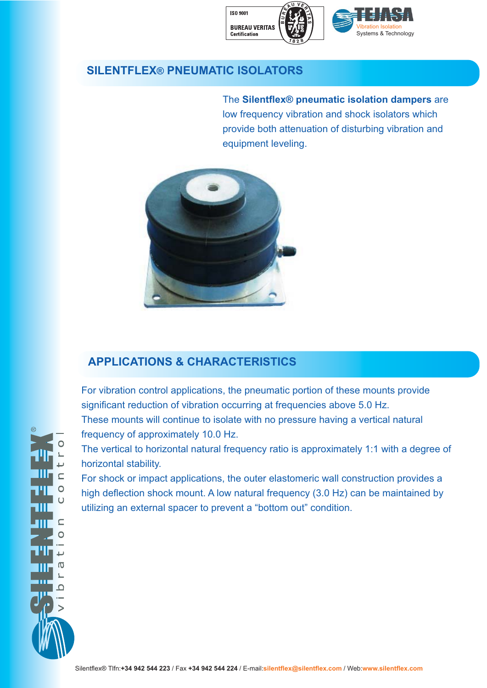

## **SILENTFLEX® PNEUMATIC ISOLATORS**

The **Silentflex® pneumatic isolation dampers** are low frequency vibration and shock isolators which provide both attenuation of disturbing vibration and equipment leveling.



# **APPLICATIONS & CHARACTERISTICS**

For vibration control applications, the pneumatic portion of these mounts provide significant reduction of vibration occurring at frequencies above 5.0 Hz. These mounts will continue to isolate with no pressure having a vertical natural frequency of approximately 10.0 Hz.

The vertical to horizontal natural frequency ratio is approximately 1:1 with a degree of horizontal stability.

For shock or impact applications, the outer elastomeric wall construction provides a high deflection shock mount. A low natural frequency (3.0 Hz) can be maintained by utilizing an external spacer to prevent a "bottom out" condition.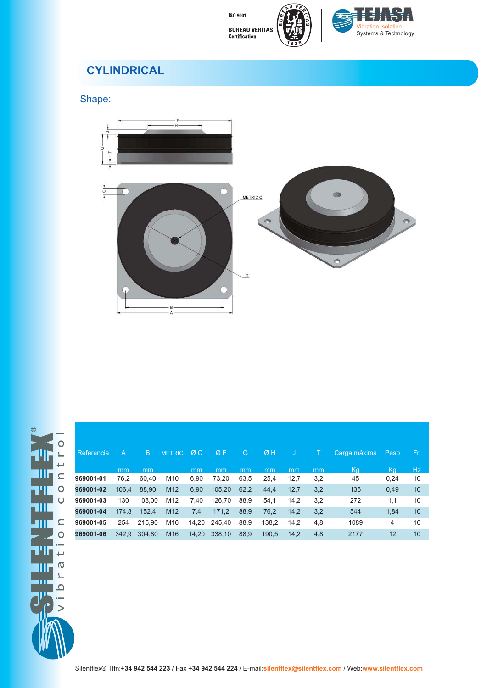



# **CYLINDRICAL**

Shape:



| Referencia | A     | B.     | <b>METRIC</b>   | ØC.   | ØF     | G    | ØH    | IJ   |     | Carga máxima | Peso | Fr. |
|------------|-------|--------|-----------------|-------|--------|------|-------|------|-----|--------------|------|-----|
|            | mm    | mm     |                 | mm    | mm     | mm   | mm    | mm   | mm  | Kg           | Kq   | Hz. |
| 969001-01  | 76.2  | 60.40  | M <sub>10</sub> | 6.90  | 73,20  | 63,5 | 25,4  | 12,7 | 3,2 | 45           | 0,24 | 10  |
| 969001-02  | 106.4 | 88.90  | M <sub>12</sub> | 6,90  | 105,20 | 62,2 | 44,4  | 12,7 | 3,2 | 136          | 0,49 | 10  |
| 969001-03  | 130   | 108.00 | M <sub>12</sub> | 7.40  | 126.70 | 88.9 | 54.1  | 14.2 | 3,2 | 272          | 1,1  | 10  |
| 969001-04  | 174.8 | 152.4  | M <sub>12</sub> | 7.4   | 171.2  | 88.9 | 76.2  | 14.2 | 3,2 | 544          | 1.84 | 10  |
| 969001-05  | 254   | 215.90 | M16             | 14.20 | 245.40 | 88.9 | 138.2 | 14.2 | 4,8 | 1089         | 4    | 10  |
| 969001-06  | 342.9 | 304.80 | M <sub>16</sub> | 14.20 | 338.10 | 88,9 | 190.5 | 14,2 | 4,8 | 2177         | 12   | 10  |
|            |       |        |                 |       |        |      |       |      |     |              |      |     |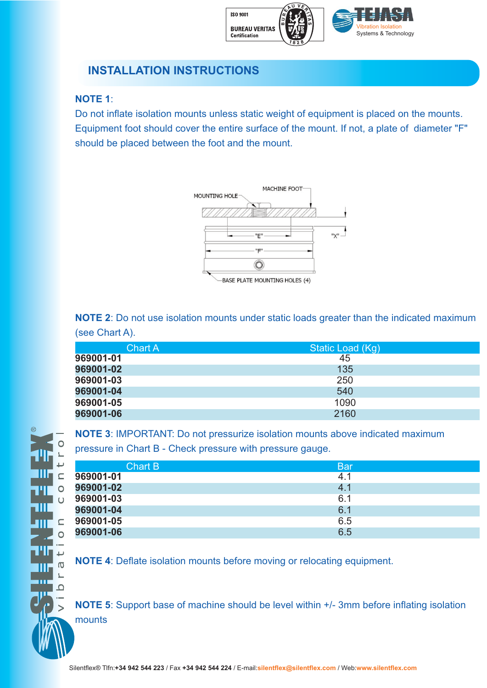

### **INSTALLATION INSTRUCTIONS**

#### **NOTE 1**:

 $\subset$  $\overline{O}$ 

 $\subset$  $\overline{O}$ 

 $\overline{0}$ 

 $\Omega$ 

Do not inflate isolation mounts unless static weight of equipment is placed on the mounts. Equipment foot should cover the entire surface of the mount. If not, a plate of diameter "F" should be placed between the foot and the mount.



**NOTE 2**: Do not use isolation mounts under static loads greater than the indicated maximum (see Chart A).

| <b>Chart A</b> | Static Load (Kg) |
|----------------|------------------|
| 969001-01      | 45               |
| 969001-02      | 135              |
| 969001-03      | 250              |
| 969001-04      | 540              |
| 969001-05      | 1090             |
| 969001-06      | 2160             |

**NOTE 3**: IMPORTANT: Do not pressurize isolation mounts above indicated maximum

pressure in Chart B - Check pressure with pressure gauge.

| Chart B   | <b>Bar</b> |
|-----------|------------|
| 969001-01 | 4.1        |
| 969001-02 | 4.1        |
| 969001-03 | 6.1        |
| 969001-04 | 6.1        |
| 969001-05 | 6.5        |
| 969001-06 | 6.5        |

**NOTE 4**: Deflate isolation mounts before moving or relocating equipment.

**NOTE 5:** Support base of machine should be level within  $+/-$  3mm before inflating isolation mounts